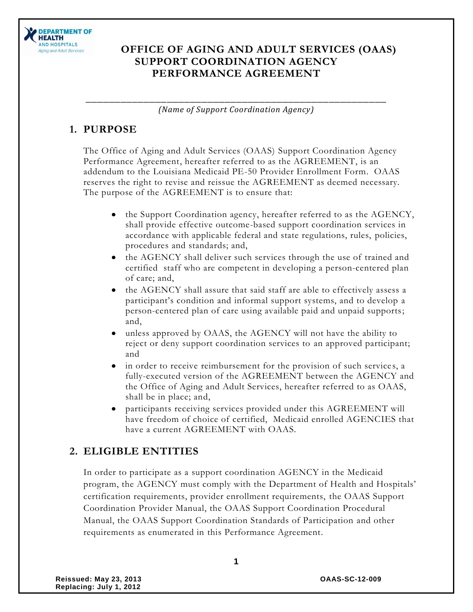

#### **OFFICE OF AGING AND ADULT SERVICES (OAAS) SUPPORT COORDINATION AGENCY PERFORMANCE AGREEMENT**

\_\_\_\_\_\_\_\_\_\_\_\_\_\_\_\_\_\_\_\_\_\_\_\_\_\_\_\_\_\_\_\_\_\_\_\_\_\_\_\_\_\_\_\_\_\_\_\_\_\_\_\_ *(Name of Support Coordination Agency)*

#### **1. PURPOSE**

The Office of Aging and Adult Services (OAAS) Support Coordination Agency Performance Agreement, hereafter referred to as the AGREEMENT, is an addendum to the Louisiana Medicaid PE-50 Provider Enrollment Form. OAAS reserves the right to revise and reissue the AGREEMENT as deemed necessary. The purpose of the AGREEMENT is to ensure that:

- the Support Coordination agency, hereafter referred to as the AGENCY, shall provide effective outcome-based support coordination services in accordance with applicable federal and state regulations, rules, policies, procedures and standards; and,
- the AGENCY shall deliver such services through the use of trained and  $\bullet$ certified staff who are competent in developing a person-centered plan of care; and,
- the AGENCY shall assure that said staff are able to effectively assess a participant's condition and informal support systems, and to develop a person-centered plan of care using available paid and unpaid supports; and,
- unless approved by OAAS, the AGENCY will not have the ability to reject or deny support coordination services to an approved participant; and
- in order to receive reimbursement for the provision of such services, a fully-executed version of the AGREEMENT between the AGENCY and the Office of Aging and Adult Services, hereafter referred to as OAAS, shall be in place; and,
- participants receiving services provided under this AGREEMENT will have freedom of choice of certified, Medicaid enrolled AGENCIES that have a current AGREEMENT with OAAS.

#### **2. ELIGIBLE ENTITIES**

In order to participate as a support coordination AGENCY in the Medicaid program, the AGENCY must comply with the Department of Health and Hospitals' certification requirements, provider enrollment requirements, the OAAS Support Coordination Provider Manual, the OAAS Support Coordination Procedural Manual, the OAAS Support Coordination Standards of Participation and other requirements as enumerated in this Performance Agreement.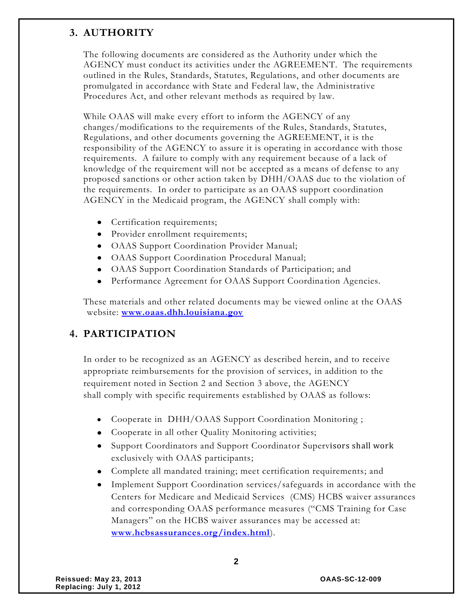#### **3. AUTHORITY**

The following documents are considered as the Authority under which the AGENCY must conduct its activities under the AGREEMENT. The requirements outlined in the Rules, Standards, Statutes, Regulations, and other documents are promulgated in accordance with State and Federal law, the Administrative Procedures Act, and other relevant methods as required by law.

While OAAS will make every effort to inform the AGENCY of any changes/modifications to the requirements of the Rules, Standards, Statutes, Regulations, and other documents governing the AGREEMENT, it is the responsibility of the AGENCY to assure it is operating in accordance with those requirements. A failure to comply with any requirement because of a lack of knowledge of the requirement will not be accepted as a means of defense to any proposed sanctions or other action taken by DHH/OAAS due to the violation of the requirements. In order to participate as an OAAS support coordination AGENCY in the Medicaid program, the AGENCY shall comply with:

- Certification requirements;
- Provider enrollment requirements;
- OAAS Support Coordination Provider Manual;
- OAAS Support Coordination Procedural Manual;
- OAAS Support Coordination Standards of Participation; and
- Performance Agreement for OAAS Support Coordination Agencies.

These materials and other related documents may be viewed online at the OAAS website: **[www.oaas.dhh.louisiana.gov](http://www.oaas.dhh.louisiana.gov/)**

#### **4. PARTICIPATION**

In order to be recognized as an AGENCY as described herein, and to receive appropriate reimbursements for the provision of services, in addition to the requirement noted in Section 2 and Section 3 above, the AGENCY shall comply with specific requirements established by OAAS as follows:

- Cooperate in DHH/OAAS Support Coordination Monitoring ;
- Cooperate in all other Quality Monitoring activities;
- Support Coordinators and Support Coordinator Supervisors shall work exclusively with OAAS participants;
- Complete all mandated training; meet certification requirements; and
- Implement Support Coordination services/safeguards in accordance with the Centers for Medicare and Medicaid Services (CMS) HCBS waiver assurances and corresponding OAAS performance measures ("CMS Training for Case Managers" on the HCBS waiver assurances may be accessed at: **[www.hcbsassurances.org/index.html](http://www.hcbsassurances.org/index.html)**).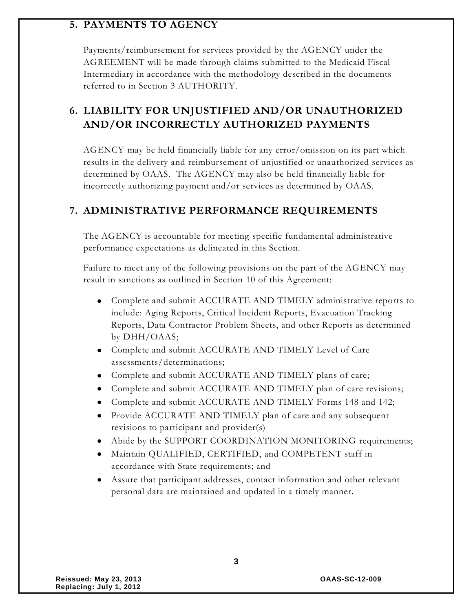#### **5. PAYMENTS TO AGENCY**

Payments/reimbursement for services provided by the AGENCY under the AGREEMENT will be made through claims submitted to the Medicaid Fiscal Intermediary in accordance with the methodology described in the documents referred to in Section 3 AUTHORITY.

# **6. LIABILITY FOR UNJUSTIFIED AND/OR UNAUTHORIZED AND/OR INCORRECTLY AUTHORIZED PAYMENTS**

AGENCY may be held financially liable for any error/omission on its part which results in the delivery and reimbursement of unjustified or unauthorized services as determined by OAAS. The AGENCY may also be held financially liable for incorrectly authorizing payment and/or services as determined by OAAS.

#### **7. ADMINISTRATIVE PERFORMANCE REQUIREMENTS**

The AGENCY is accountable for meeting specific fundamental administrative performance expectations as delineated in this Section.

Failure to meet any of the following provisions on the part of the AGENCY may result in sanctions as outlined in Section 10 of this Agreement:

- Complete and submit ACCURATE AND TIMELY administrative reports to include: Aging Reports, Critical Incident Reports, Evacuation Tracking Reports, Data Contractor Problem Sheets, and other Reports as determined by DHH/OAAS;
- Complete and submit ACCURATE AND TIMELY Level of Care assessments/determinations;
- Complete and submit ACCURATE AND TIMELY plans of care;
- Complete and submit ACCURATE AND TIMELY plan of care revisions;
- Complete and submit ACCURATE AND TIMELY Forms 148 and 142;
- Provide ACCURATE AND TIMELY plan of care and any subsequent revisions to participant and provider(s)
- Abide by the SUPPORT COORDINATION MONITORING requirements;
- Maintain QUALIFIED, CERTIFIED, and COMPETENT staff in accordance with State requirements; and
- Assure that participant addresses, contact information and other relevant personal data are maintained and updated in a timely manner.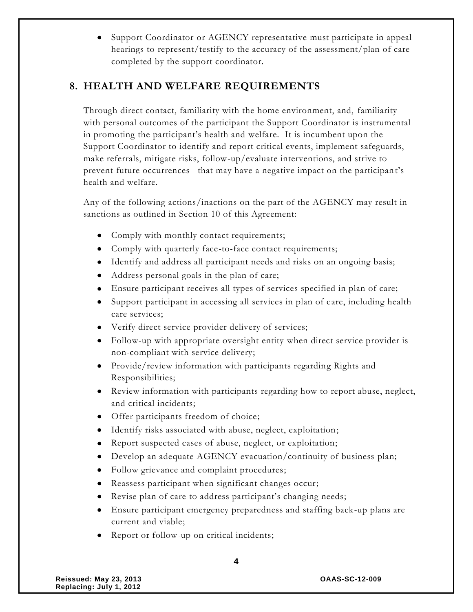Support Coordinator or AGENCY representative must participate in appeal  $\bullet$ hearings to represent/testify to the accuracy of the assessment/plan of care completed by the support coordinator.

#### **8. HEALTH AND WELFARE REQUIREMENTS**

Through direct contact, familiarity with the home environment, and, familiarity with personal outcomes of the participant the Support Coordinator is instrumental in promoting the participant's health and welfare. It is incumbent upon the Support Coordinator to identify and report critical events, implement safeguards, make referrals, mitigate risks, follow-up/evaluate interventions, and strive to prevent future occurrences that may have a negative impact on the participant's health and welfare.

Any of the following actions/inactions on the part of the AGENCY may result in sanctions as outlined in Section 10 of this Agreement:

- Comply with monthly contact requirements;
- Comply with quarterly face-to-face contact requirements;
- Identify and address all participant needs and risks on an ongoing basis;
- Address personal goals in the plan of care;
- Ensure participant receives all types of services specified in plan of care;
- Support participant in accessing all services in plan of care, including health care services;
- Verify direct service provider delivery of services;
- Follow-up with appropriate oversight entity when direct service provider is non-compliant with service delivery;
- Provide/review information with participants regarding Rights and Responsibilities;
- Review information with participants regarding how to report abuse, neglect, and critical incidents;
- Offer participants freedom of choice;
- Identify risks associated with abuse, neglect, exploitation;
- Report suspected cases of abuse, neglect, or exploitation;
- Develop an adequate AGENCY evacuation/continuity of business plan;
- Follow grievance and complaint procedures;
- Reassess participant when significant changes occur;
- Revise plan of care to address participant's changing needs;
- Ensure participant emergency preparedness and staffing back-up plans are current and viable;
- Report or follow-up on critical incidents;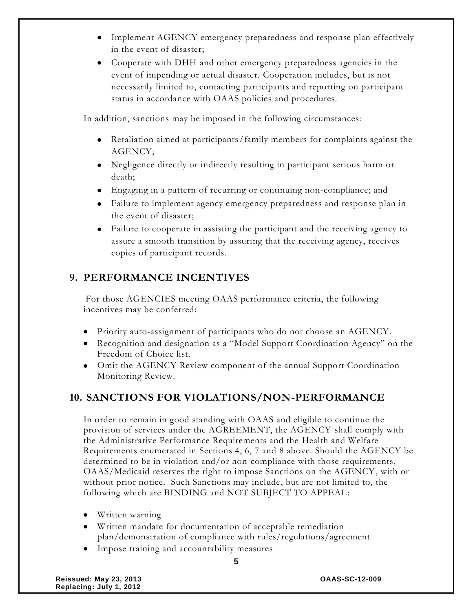- Implement AGENCY emergency preparedness and response plan effectively in the event of disaster;
- Cooperate with DHH and other emergency preparedness agencies in the event of impending or actual disaster. Cooperation includes, but is not necessarily limited to, contacting participants and reporting on participant status in accordance with OAAS policies and procedures.

In addition, sanctions may be imposed in the following circumstances:

- Retaliation aimed at participants/family members for complaints against the AGENCY;
- Negligence directly or indirectly resulting in participant serious harm or death;
- Engaging in a pattern of recurring or continuing non-compliance; and
- Failure to implement agency emergency preparedness and response plan in the event of disaster;
- Failure to cooperate in assisting the participant and the receiving agency to assure a smooth transition by assuring that the receiving agency, receives copies of participant records.

## **9. PERFORMANCE INCENTIVES**

For those AGENCIES meeting OAAS performance criteria, the following incentives may be conferred:

- Priority auto-assignment of participants who do not choose an AGENCY.
- Recognition and designation as a "Model Support Coordination Agency" on the Freedom of Choice list.
- Omit the AGENCY Review component of the annual Support Coordination Monitoring Review.

#### **10. SANCTIONS FOR VIOLATIONS/NON-PERFORMANCE**

In order to remain in good standing with OAAS and eligible to continue the provision of services under the AGREEMENT, the AGENCY shall comply with the Administrative Performance Requirements and the Health and Welfare Requirements enumerated in Sections 4, 6, 7 and 8 above. Should the AGENCY be determined to be in violation and/or non-compliance with those requirements, OAAS/Medicaid reserves the right to impose Sanctions on the AGENCY, with or without prior notice. Such Sanctions may include, but are not limited to, the following which are BINDING and NOT SUBJECT TO APPEAL:

- Written warning
- Written mandate for documentation of acceptable remediation plan/demonstration of compliance with rules/regulations/agreement
- Impose training and accountability measures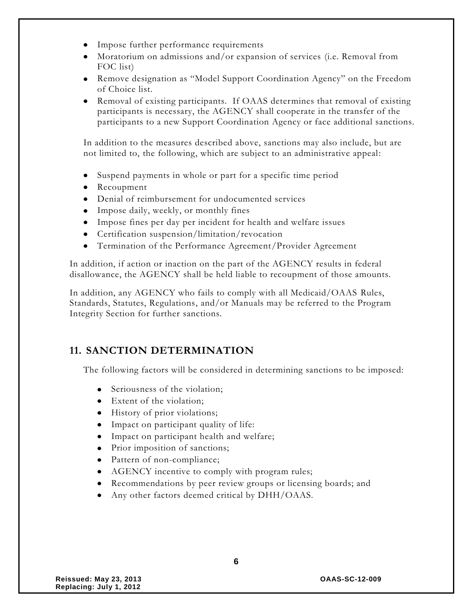- Impose further performance requirements
- Moratorium on admissions and/or expansion of services (i.e. Removal from FOC list)
- Remove designation as "Model Support Coordination Agency" on the Freedom of Choice list.
- Removal of existing participants. If OAAS determines that removal of existing participants is necessary, the AGENCY shall cooperate in the transfer of the participants to a new Support Coordination Agency or face additional sanctions.

In addition to the measures described above, sanctions may also include, but are not limited to, the following, which are subject to an administrative appeal:

- Suspend payments in whole or part for a specific time period
- Recoupment
- Denial of reimbursement for undocumented services
- Impose daily, weekly, or monthly fines
- Impose fines per day per incident for health and welfare issues
- Certification suspension/limitation/revocation
- Termination of the Performance Agreement/Provider Agreement

In addition, if action or inaction on the part of the AGENCY results in federal disallowance, the AGENCY shall be held liable to recoupment of those amounts.

In addition, any AGENCY who fails to comply with all Medicaid/OAAS Rules, Standards, Statutes, Regulations, and/or Manuals may be referred to the Program Integrity Section for further sanctions.

#### **11. SANCTION DETERMINATION**

The following factors will be considered in determining sanctions to be imposed:

- Seriousness of the violation;
- Extent of the violation;
- History of prior violations;
- Impact on participant quality of life:
- Impact on participant health and welfare;
- Prior imposition of sanctions;
- Pattern of non-compliance;
- AGENCY incentive to comply with program rules;
- Recommendations by peer review groups or licensing boards; and

**6**

Any other factors deemed critical by DHH/OAAS.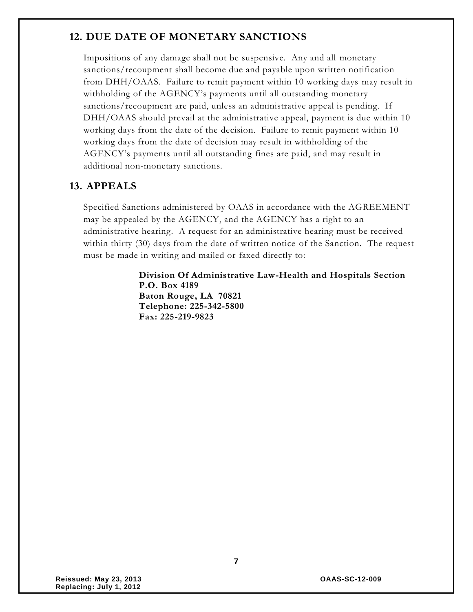### **12. DUE DATE OF MONETARY SANCTIONS**

Impositions of any damage shall not be suspensive. Any and all monetary sanctions/recoupment shall become due and payable upon written notification from DHH/OAAS. Failure to remit payment within 10 working days may result in withholding of the AGENCY's payments until all outstanding monetary sanctions/recoupment are paid, unless an administrative appeal is pending. If DHH/OAAS should prevail at the administrative appeal, payment is due within 10 working days from the date of the decision. Failure to remit payment within 10 working days from the date of decision may result in withholding of the AGENCY's payments until all outstanding fines are paid, and may result in additional non-monetary sanctions.

#### **13. APPEALS**

Specified Sanctions administered by OAAS in accordance with the AGREEMENT may be appealed by the AGENCY, and the AGENCY has a right to an administrative hearing. A request for an administrative hearing must be received within thirty (30) days from the date of written notice of the Sanction. The request must be made in writing and mailed or faxed directly to:

> **Division Of Administrative Law-Health and Hospitals Section P.O. Box 4189 Baton Rouge, LA 70821 Telephone: 225-342-5800 Fax: 225-219-9823**